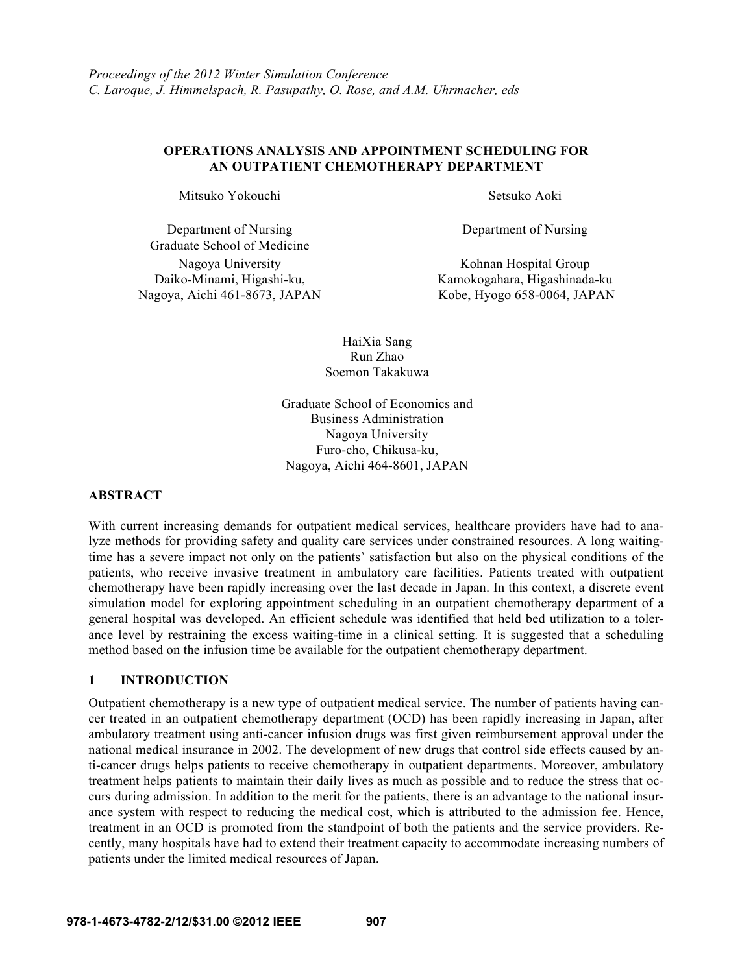## **OPERATIONS ANALYSIS AND APPOINTMENT SCHEDULING FOR AN OUTPATIENT CHEMOTHERAPY DEPARTMENT**

Mitsuko Yokouchi Setsuko Aoki

Department of Nursing Graduate School of Medicine Daiko-Minami, Higashi-ku, Nagoya, Aichi 461-8673, JAPAN

Department of Nursing

Nagoya University Kohnan Hospital Group Kamokogahara, Higashinada-ku Kobe, Hyogo 658-0064, JAPAN

> HaiXia Sang Run Zhao Soemon Takakuwa

Graduate School of Economics and Business Administration Nagoya University Furo-cho, Chikusa-ku, Nagoya, Aichi 464-8601, JAPAN

### **ABSTRACT**

With current increasing demands for outpatient medical services, healthcare providers have had to analyze methods for providing safety and quality care services under constrained resources. A long waitingtime has a severe impact not only on the patients' satisfaction but also on the physical conditions of the patients, who receive invasive treatment in ambulatory care facilities. Patients treated with outpatient chemotherapy have been rapidly increasing over the last decade in Japan. In this context, a discrete event simulation model for exploring appointment scheduling in an outpatient chemotherapy department of a general hospital was developed. An efficient schedule was identified that held bed utilization to a tolerance level by restraining the excess waiting-time in a clinical setting. It is suggested that a scheduling method based on the infusion time be available for the outpatient chemotherapy department.

## **1 INTRODUCTION**

Outpatient chemotherapy is a new type of outpatient medical service. The number of patients having cancer treated in an outpatient chemotherapy department (OCD) has been rapidly increasing in Japan, after ambulatory treatment using anti-cancer infusion drugs was first given reimbursement approval under the national medical insurance in 2002. The development of new drugs that control side effects caused by anti-cancer drugs helps patients to receive chemotherapy in outpatient departments. Moreover, ambulatory treatment helps patients to maintain their daily lives as much as possible and to reduce the stress that occurs during admission. In addition to the merit for the patients, there is an advantage to the national insurance system with respect to reducing the medical cost, which is attributed to the admission fee. Hence, treatment in an OCD is promoted from the standpoint of both the patients and the service providers. Recently, many hospitals have had to extend their treatment capacity to accommodate increasing numbers of patients under the limited medical resources of Japan.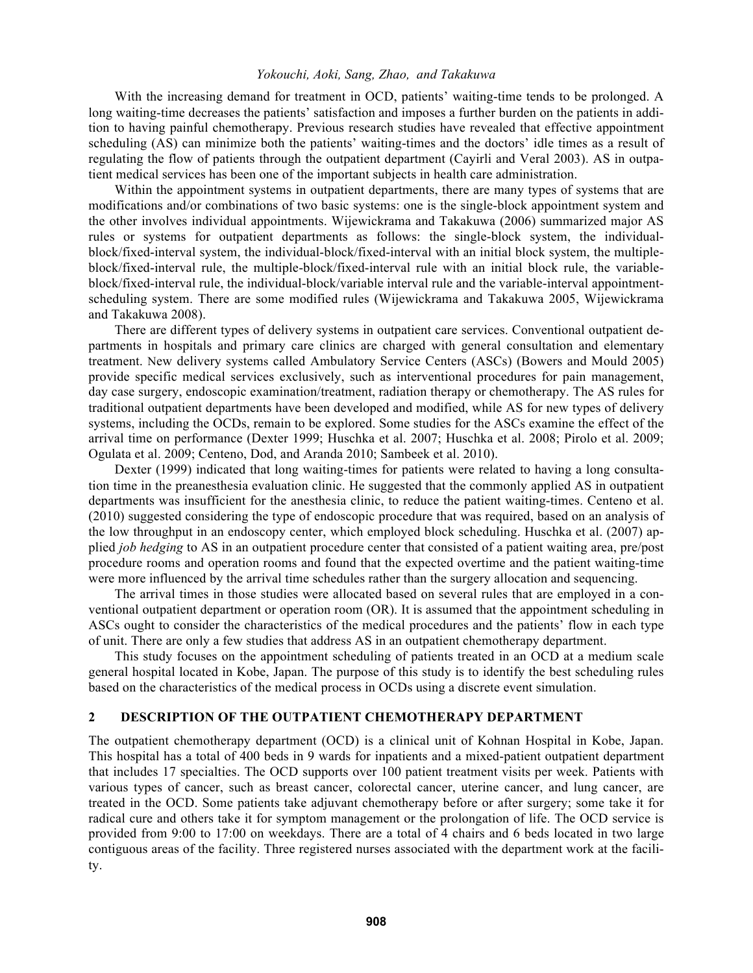With the increasing demand for treatment in OCD, patients' waiting-time tends to be prolonged. A long waiting-time decreases the patients' satisfaction and imposes a further burden on the patients in addition to having painful chemotherapy. Previous research studies have revealed that effective appointment scheduling (AS) can minimize both the patients' waiting-times and the doctors' idle times as a result of regulating the flow of patients through the outpatient department (Cayirli and Veral 2003). AS in outpatient medical services has been one of the important subjects in health care administration.

Within the appointment systems in outpatient departments, there are many types of systems that are modifications and/or combinations of two basic systems: one is the single-block appointment system and the other involves individual appointments. Wijewickrama and Takakuwa (2006) summarized major AS rules or systems for outpatient departments as follows: the single-block system, the individualblock/fixed-interval system, the individual-block/fixed-interval with an initial block system, the multipleblock/fixed-interval rule, the multiple-block/fixed-interval rule with an initial block rule, the variableblock/fixed-interval rule, the individual-block/variable interval rule and the variable-interval appointmentscheduling system. There are some modified rules (Wijewickrama and Takakuwa 2005, Wijewickrama and Takakuwa 2008).

There are different types of delivery systems in outpatient care services. Conventional outpatient departments in hospitals and primary care clinics are charged with general consultation and elementary treatment. New delivery systems called Ambulatory Service Centers (ASCs) (Bowers and Mould 2005) provide specific medical services exclusively, such as interventional procedures for pain management, day case surgery, endoscopic examination/treatment, radiation therapy or chemotherapy. The AS rules for traditional outpatient departments have been developed and modified, while AS for new types of delivery systems, including the OCDs, remain to be explored. Some studies for the ASCs examine the effect of the arrival time on performance (Dexter 1999; Huschka et al. 2007; Huschka et al. 2008; Pirolo et al. 2009; Ogulata et al. 2009; Centeno, Dod, and Aranda 2010; Sambeek et al. 2010).

Dexter (1999) indicated that long waiting-times for patients were related to having a long consultation time in the preanesthesia evaluation clinic. He suggested that the commonly applied AS in outpatient departments was insufficient for the anesthesia clinic, to reduce the patient waiting-times. Centeno et al. (2010) suggested considering the type of endoscopic procedure that was required, based on an analysis of the low throughput in an endoscopy center, which employed block scheduling. Huschka et al. (2007) applied *job hedging* to AS in an outpatient procedure center that consisted of a patient waiting area, pre/post procedure rooms and operation rooms and found that the expected overtime and the patient waiting-time were more influenced by the arrival time schedules rather than the surgery allocation and sequencing.

The arrival times in those studies were allocated based on several rules that are employed in a conventional outpatient department or operation room (OR). It is assumed that the appointment scheduling in ASCs ought to consider the characteristics of the medical procedures and the patients' flow in each type of unit. There are only a few studies that address AS in an outpatient chemotherapy department.

This study focuses on the appointment scheduling of patients treated in an OCD at a medium scale general hospital located in Kobe, Japan. The purpose of this study is to identify the best scheduling rules based on the characteristics of the medical process in OCDs using a discrete event simulation.

## **2 DESCRIPTION OF THE OUTPATIENT CHEMOTHERAPY DEPARTMENT**

The outpatient chemotherapy department (OCD) is a clinical unit of Kohnan Hospital in Kobe, Japan. This hospital has a total of 400 beds in 9 wards for inpatients and a mixed-patient outpatient department that includes 17 specialties. The OCD supports over 100 patient treatment visits per week. Patients with various types of cancer, such as breast cancer, colorectal cancer, uterine cancer, and lung cancer, are treated in the OCD. Some patients take adjuvant chemotherapy before or after surgery; some take it for radical cure and others take it for symptom management or the prolongation of life. The OCD service is provided from 9:00 to 17:00 on weekdays. There are a total of 4 chairs and 6 beds located in two large contiguous areas of the facility. Three registered nurses associated with the department work at the facility.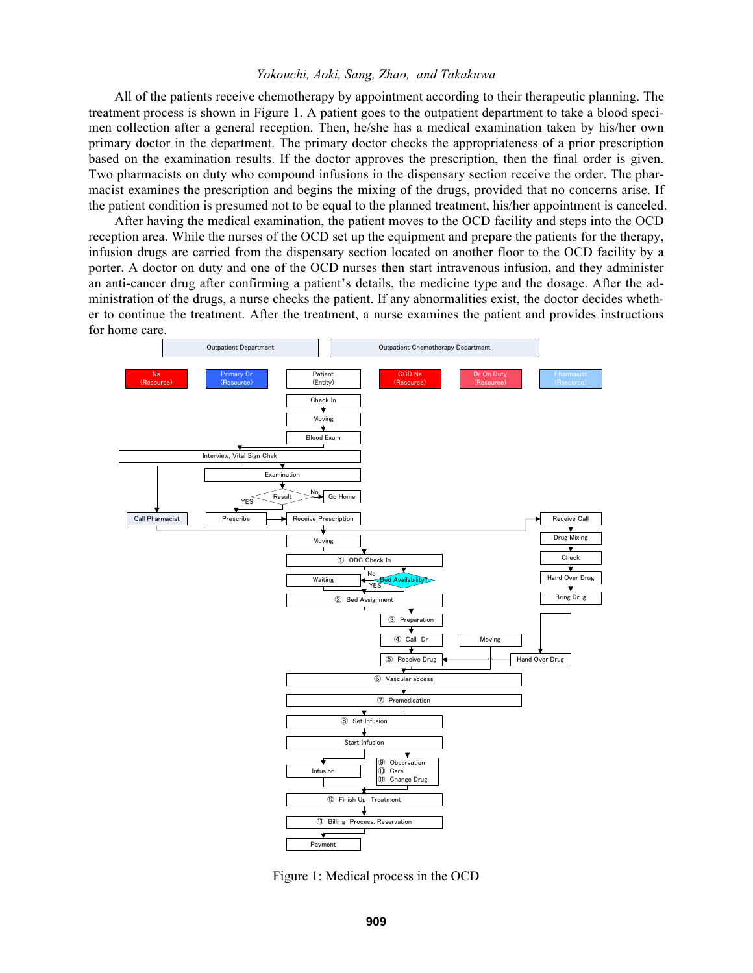All of the patients receive chemotherapy by appointment according to their therapeutic planning. The treatment process is shown in Figure 1. A patient goes to the outpatient department to take a blood specimen collection after a general reception. Then, he/she has a medical examination taken by his/her own primary doctor in the department. The primary doctor checks the appropriateness of a prior prescription based on the examination results. If the doctor approves the prescription, then the final order is given. Two pharmacists on duty who compound infusions in the dispensary section receive the order. The pharmacist examines the prescription and begins the mixing of the drugs, provided that no concerns arise. If the patient condition is presumed not to be equal to the planned treatment, his/her appointment is canceled.

After having the medical examination, the patient moves to the OCD facility and steps into the OCD reception area. While the nurses of the OCD set up the equipment and prepare the patients for the therapy, infusion drugs are carried from the dispensary section located on another floor to the OCD facility by a porter. A doctor on duty and one of the OCD nurses then start intravenous infusion, and they administer an anti-cancer drug after confirming a patient's details, the medicine type and the dosage. After the administration of the drugs, a nurse checks the patient. If any abnormalities exist, the doctor decides whether to continue the treatment. After the treatment, a nurse examines the patient and provides instructions for home care.



Figure 1: Medical process in the OCD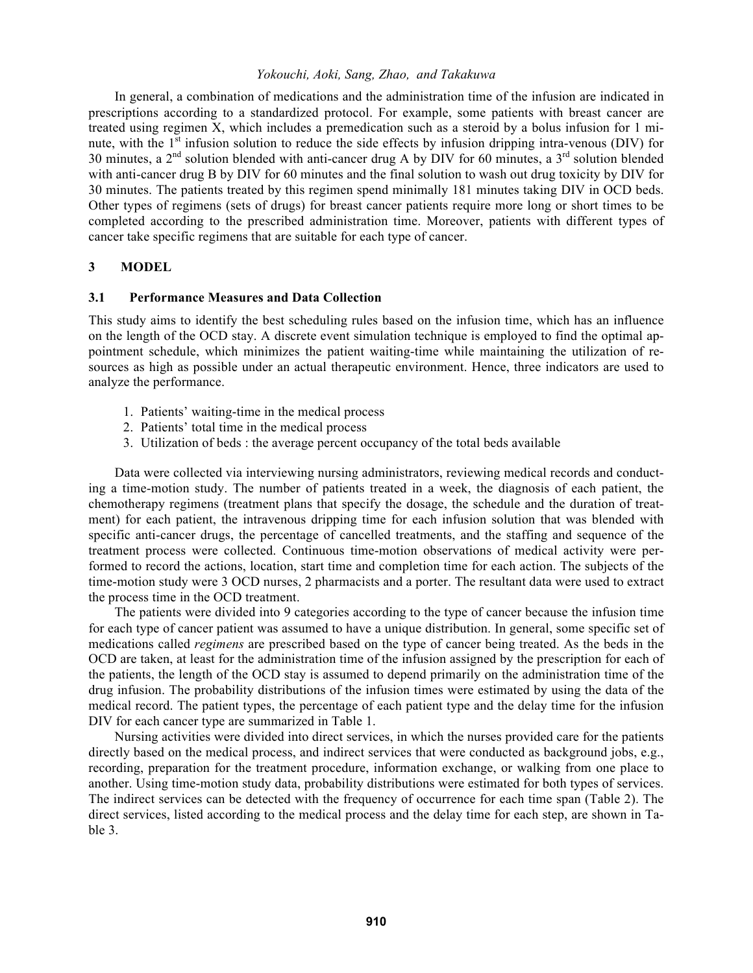In general, a combination of medications and the administration time of the infusion are indicated in prescriptions according to a standardized protocol. For example, some patients with breast cancer are treated using regimen X, which includes a premedication such as a steroid by a bolus infusion for 1 minute, with the 1<sup>st</sup> infusion solution to reduce the side effects by infusion dripping intra-venous (DIV) for 30 minutes, a  $2<sup>nd</sup>$  solution blended with anti-cancer drug A by DIV for 60 minutes, a  $3<sup>rd</sup>$  solution blended with anti-cancer drug B by DIV for 60 minutes and the final solution to wash out drug toxicity by DIV for 30 minutes. The patients treated by this regimen spend minimally 181 minutes taking DIV in OCD beds. Other types of regimens (sets of drugs) for breast cancer patients require more long or short times to be completed according to the prescribed administration time. Moreover, patients with different types of cancer take specific regimens that are suitable for each type of cancer.

## **3 MODEL**

## **3.1 Performance Measures and Data Collection**

This study aims to identify the best scheduling rules based on the infusion time, which has an influence on the length of the OCD stay. A discrete event simulation technique is employed to find the optimal appointment schedule, which minimizes the patient waiting-time while maintaining the utilization of resources as high as possible under an actual therapeutic environment. Hence, three indicators are used to analyze the performance.

- 1. Patients' waiting-time in the medical process
- 2. Patients' total time in the medical process
- 3. Utilization of beds : the average percent occupancy of the total beds available

Data were collected via interviewing nursing administrators, reviewing medical records and conducting a time-motion study. The number of patients treated in a week, the diagnosis of each patient, the chemotherapy regimens (treatment plans that specify the dosage, the schedule and the duration of treatment) for each patient, the intravenous dripping time for each infusion solution that was blended with specific anti-cancer drugs, the percentage of cancelled treatments, and the staffing and sequence of the treatment process were collected. Continuous time-motion observations of medical activity were performed to record the actions, location, start time and completion time for each action. The subjects of the time-motion study were 3 OCD nurses, 2 pharmacists and a porter. The resultant data were used to extract the process time in the OCD treatment.

The patients were divided into 9 categories according to the type of cancer because the infusion time for each type of cancer patient was assumed to have a unique distribution. In general, some specific set of medications called *regimens* are prescribed based on the type of cancer being treated. As the beds in the OCD are taken, at least for the administration time of the infusion assigned by the prescription for each of the patients, the length of the OCD stay is assumed to depend primarily on the administration time of the drug infusion. The probability distributions of the infusion times were estimated by using the data of the medical record. The patient types, the percentage of each patient type and the delay time for the infusion DIV for each cancer type are summarized in Table 1.

Nursing activities were divided into direct services, in which the nurses provided care for the patients directly based on the medical process, and indirect services that were conducted as background jobs, e.g., recording, preparation for the treatment procedure, information exchange, or walking from one place to another. Using time-motion study data, probability distributions were estimated for both types of services. The indirect services can be detected with the frequency of occurrence for each time span (Table 2). The direct services, listed according to the medical process and the delay time for each step, are shown in Table 3.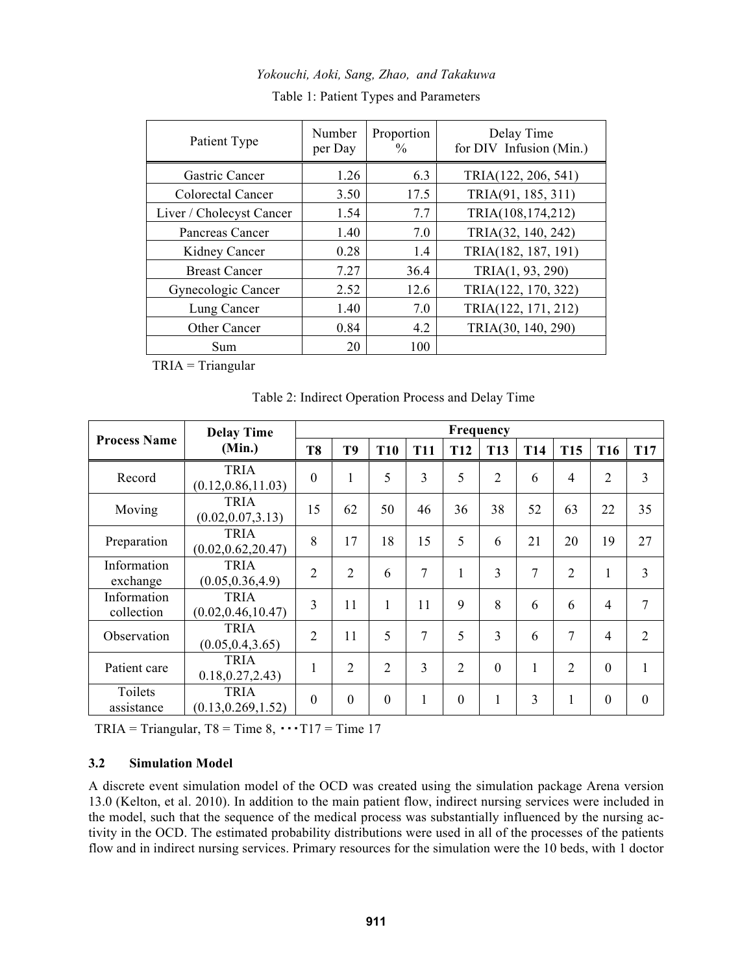*Yokouchi, Aoki, Sang, Zhao, and Takakuwa* 

| Patient Type             | Number<br>per Day | Proportion<br>$\frac{0}{0}$ | Delay Time<br>for DIV Infusion (Min.) |
|--------------------------|-------------------|-----------------------------|---------------------------------------|
| Gastric Cancer           | 1.26              | 6.3                         | TRIA(122, 206, 541)                   |
| Colorectal Cancer        | 3.50              | 17.5                        | TRIA(91, 185, 311)                    |
| Liver / Cholecyst Cancer | 1.54              | 7.7                         | TRIA(108,174,212)                     |
| Pancreas Cancer          | 1.40              | 7.0                         | TRIA(32, 140, 242)                    |
| Kidney Cancer            | 0.28              | 1.4                         | TRIA(182, 187, 191)                   |
| <b>Breast Cancer</b>     | 7.27              | 36.4                        | TRIA(1, 93, 290)                      |
| Gynecologic Cancer       | 2.52              | 12.6                        | TRIA(122, 170, 322)                   |
| Lung Cancer              | 1.40              | 7.0                         | TRIA(122, 171, 212)                   |
| Other Cancer             | 0.84              | 4.2                         | TRIA(30, 140, 290)                    |
| Sum                      | 20                | 100                         |                                       |

Table 1: Patient Types and Parameters

TRIA = Triangular

Table 2: Indirect Operation Process and Delay Time

|                           | <b>Delay Time</b>                  | Frequency      |                |                |              |                |                |            |                |                  |                |
|---------------------------|------------------------------------|----------------|----------------|----------------|--------------|----------------|----------------|------------|----------------|------------------|----------------|
| <b>Process Name</b>       | (Min.)                             | T <sub>8</sub> | T <sub>9</sub> | <b>T10</b>     | <b>T11</b>   | <b>T12</b>     | <b>T13</b>     | <b>T14</b> | <b>T15</b>     | T <sub>16</sub>  | <b>T17</b>     |
| Record                    | <b>TRIA</b><br>(0.12, 0.86, 11.03) | $\overline{0}$ | 1              | 5              | 3            | 5              | $\overline{2}$ | 6          | $\overline{4}$ | $\overline{2}$   | 3              |
| Moving                    | <b>TRIA</b><br>(0.02, 0.07, 3.13)  | 15             | 62             | 50             | 46           | 36             | 38             | 52         | 63             | 22               | 35             |
| Preparation               | <b>TRIA</b><br>(0.02, 0.62, 20.47) | 8              | 17             | 18             | 15           | 5              | 6              | 21         | 20             | 19               | 27             |
| Information<br>exchange   | <b>TRIA</b><br>(0.05, 0.36, 4.9)   | $\overline{2}$ | $\overline{2}$ | 6              | 7            | 1              | 3              | 7          | $\overline{2}$ | 1                | 3              |
| Information<br>collection | <b>TRIA</b><br>(0.02, 0.46, 10.47) | 3              | 11             | 1              | 11           | 9              | 8              | 6          | 6              | $\overline{4}$   | 7              |
| Observation               | <b>TRIA</b><br>(0.05, 0.4, 3.65)   | $\overline{2}$ | 11             | 5              | 7            | 5              | 3              | 6          | 7              | $\overline{4}$   | $\overline{2}$ |
| Patient care              | <b>TRIA</b><br>0.18, 0.27, 2.43    | -1             | $\overline{2}$ | $\overline{2}$ | 3            | $\overline{2}$ | $\theta$       | 1          | $\overline{2}$ | $\mathbf{0}$     | 1              |
| Toilets<br>assistance     | <b>TRIA</b><br>(0.13, 0.269, 1.52) | $\theta$       | $\theta$       | $\Omega$       | $\mathbf{1}$ | $\theta$       | 1              | 3          | 1              | $\boldsymbol{0}$ | $\Omega$       |

 $TRIA = Triangular$ ,  $T8 = Time 8$ ,  $\cdots T17 = Time 17$ 

# **3.2 Simulation Model**

A discrete event simulation model of the OCD was created using the simulation package Arena version 13.0 (Kelton, et al. 2010). In addition to the main patient flow, indirect nursing services were included in the model, such that the sequence of the medical process was substantially influenced by the nursing activity in the OCD. The estimated probability distributions were used in all of the processes of the patients flow and in indirect nursing services. Primary resources for the simulation were the 10 beds, with 1 doctor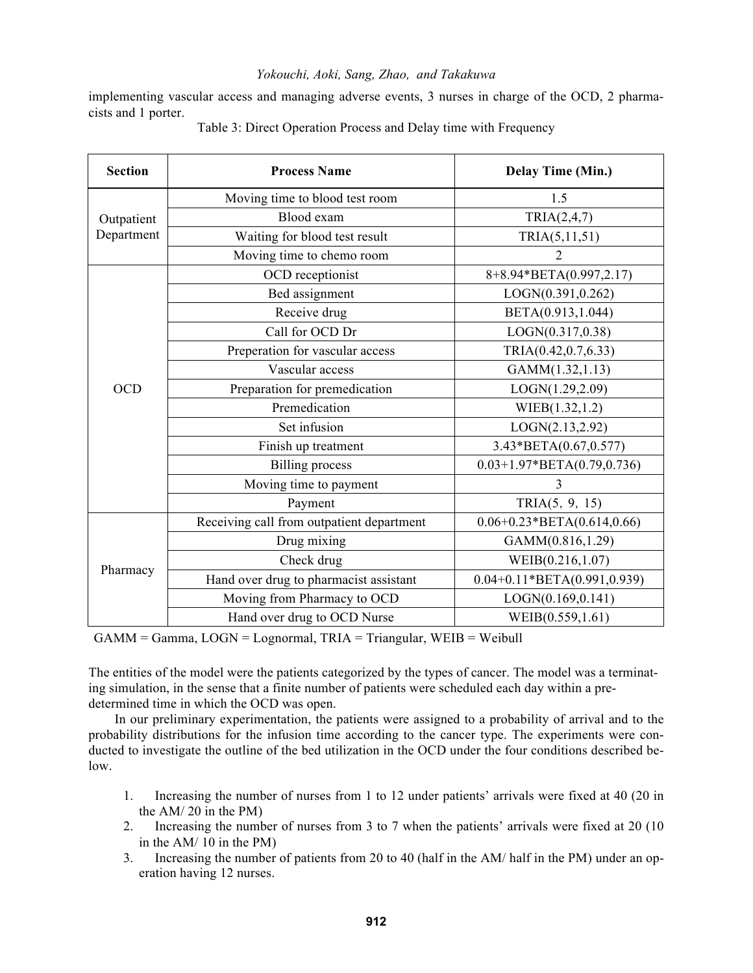implementing vascular access and managing adverse events, 3 nurses in charge of the OCD, 2 pharmacists and 1 porter.

| <b>Section</b> | <b>Process Name</b>                       | Delay Time (Min.)             |  |  |  |
|----------------|-------------------------------------------|-------------------------------|--|--|--|
|                | Moving time to blood test room            | 1.5                           |  |  |  |
| Outpatient     | Blood exam                                | TRIA(2,4,7)                   |  |  |  |
| Department     | Waiting for blood test result             | TRIA(5,11,51)                 |  |  |  |
|                | Moving time to chemo room                 | $\overline{2}$                |  |  |  |
|                | OCD receptionist                          | 8+8.94*BETA(0.997,2.17)       |  |  |  |
|                | Bed assignment                            | LOGN(0.391,0.262)             |  |  |  |
|                | Receive drug                              | BETA(0.913,1.044)             |  |  |  |
|                | Call for OCD Dr                           | LOGN(0.317, 0.38)             |  |  |  |
|                | Preperation for vascular access           | TRIA(0.42,0.7,6.33)           |  |  |  |
|                | Vascular access                           | GAMM(1.32,1.13)               |  |  |  |
| <b>OCD</b>     | Preparation for premedication             | LOGN(1.29,2.09)               |  |  |  |
|                | Premedication                             | WIEB(1.32,1.2)                |  |  |  |
|                | Set infusion                              | LOGN(2.13, 2.92)              |  |  |  |
|                | Finish up treatment                       | 3.43*BETA(0.67,0.577)         |  |  |  |
|                | <b>Billing</b> process                    | $0.03+1.97*BETA(0.79,0.736)$  |  |  |  |
|                | Moving time to payment                    | 3                             |  |  |  |
|                | Payment                                   | TRIA(5, 9, 15)                |  |  |  |
|                | Receiving call from outpatient department | $0.06+0.23*BETA(0.614,0.66)$  |  |  |  |
|                | Drug mixing                               | GAMM(0.816,1.29)              |  |  |  |
|                | Check drug                                | WEIB(0.216,1.07)              |  |  |  |
| Pharmacy       | Hand over drug to pharmacist assistant    | $0.04+0.11*BETA(0.991,0.939)$ |  |  |  |
|                | Moving from Pharmacy to OCD               | LOGN(0.169,0.141)             |  |  |  |
|                | Hand over drug to OCD Nurse               | WEIB(0.559,1.61)              |  |  |  |

### Table 3: Direct Operation Process and Delay time with Frequency

GAMM = Gamma, LOGN = Lognormal, TRIA = Triangular, WEIB = Weibull

The entities of the model were the patients categorized by the types of cancer. The model was a terminating simulation, in the sense that a finite number of patients were scheduled each day within a predetermined time in which the OCD was open.

In our preliminary experimentation, the patients were assigned to a probability of arrival and to the probability distributions for the infusion time according to the cancer type. The experiments were conducted to investigate the outline of the bed utilization in the OCD under the four conditions described below.

- 1. Increasing the number of nurses from 1 to 12 under patients' arrivals were fixed at 40 (20 in the AM/ 20 in the PM)
- 2. Increasing the number of nurses from 3 to 7 when the patients' arrivals were fixed at 20 (10 in the AM/ 10 in the PM)
- 3. Increasing the number of patients from 20 to 40 (half in the AM/ half in the PM) under an operation having 12 nurses.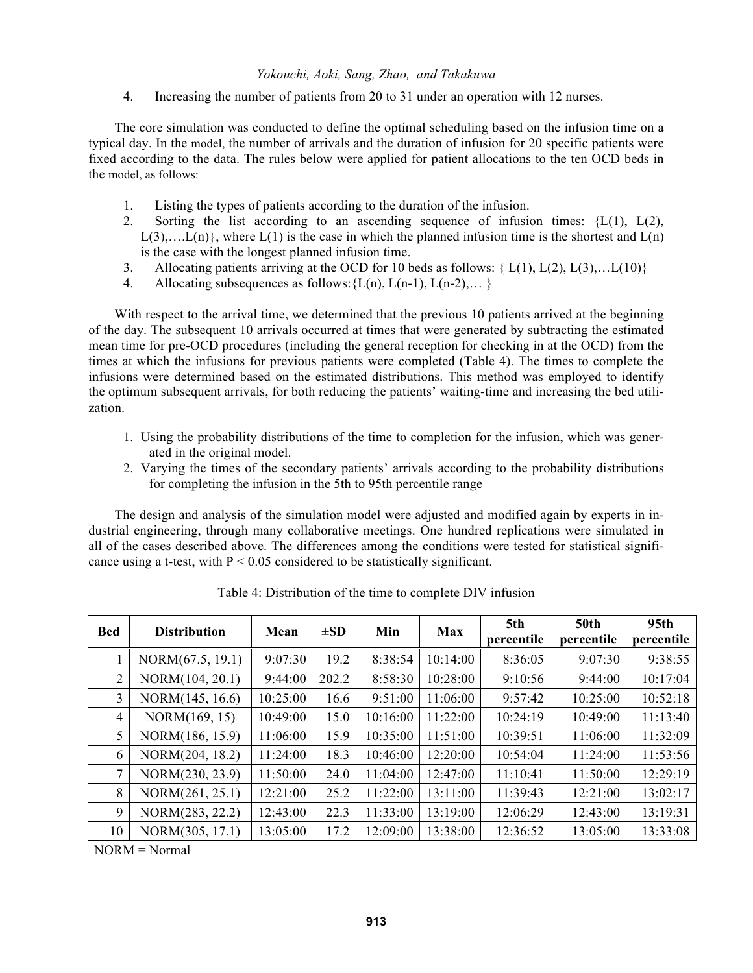4. Increasing the number of patients from 20 to 31 under an operation with 12 nurses.

The core simulation was conducted to define the optimal scheduling based on the infusion time on a typical day. In the model, the number of arrivals and the duration of infusion for 20 specific patients were fixed according to the data. The rules below were applied for patient allocations to the ten OCD beds in the model, as follows:

- 1. Listing the types of patients according to the duration of the infusion.
- 2. Sorting the list according to an ascending sequence of infusion times:  ${L(1), L(2),}$  $L(3),...L(n)$ , where  $L(1)$  is the case in which the planned infusion time is the shortest and  $L(n)$ is the case with the longest planned infusion time.
- 3. Allocating patients arriving at the OCD for 10 beds as follows:  $\{L(1), L(2), L(3), \ldots L(10)\}\$
- 4. Allocating subsequences as follows:  $\{L(n), L(n-1), L(n-2), \ldots\}$

With respect to the arrival time, we determined that the previous 10 patients arrived at the beginning of the day. The subsequent 10 arrivals occurred at times that were generated by subtracting the estimated mean time for pre-OCD procedures (including the general reception for checking in at the OCD) from the times at which the infusions for previous patients were completed (Table 4). The times to complete the infusions were determined based on the estimated distributions. This method was employed to identify the optimum subsequent arrivals, for both reducing the patients' waiting-time and increasing the bed utilization.

- 1. Using the probability distributions of the time to completion for the infusion, which was generated in the original model.
- 2. Varying the times of the secondary patients' arrivals according to the probability distributions for completing the infusion in the 5th to 95th percentile range

The design and analysis of the simulation model were adjusted and modified again by experts in industrial engineering, through many collaborative meetings. One hundred replications were simulated in all of the cases described above. The differences among the conditions were tested for statistical significance using a t-test, with  $P < 0.05$  considered to be statistically significant.

| <b>Bed</b>     | <b>Distribution</b> | Mean     | $\pm SD$ | Min      | <b>Max</b> | 5th<br>percentile | <b>50th</b><br>percentile | 95 <sub>th</sub><br>percentile |
|----------------|---------------------|----------|----------|----------|------------|-------------------|---------------------------|--------------------------------|
|                | NORM(67.5, 19.1)    | 9:07:30  | 19.2     | 8:38:54  | 10:14:00   | 8:36:05           | 9:07:30                   | 9:38:55                        |
| $\overline{2}$ | NORM(104, 20.1)     | 9:44:00  | 202.2    | 8:58:30  | 10:28:00   | 9:10:56           | 9:44:00                   | 10:17:04                       |
| 3              | NORM(145, 16.6)     | 10:25:00 | 16.6     | 9:51:00  | 11:06:00   | 9:57:42           | 10:25:00                  | 10:52:18                       |
| $\overline{4}$ | NORM(169, 15)       | 10:49:00 | 15.0     | 10:16:00 | 11:22:00   | 10:24:19          | 10:49:00                  | 11:13:40                       |
| 5              | NORM(186, 15.9)     | 11:06:00 | 15.9     | 10:35:00 | 11:51:00   | 10:39:51          | 11:06:00                  | 11:32:09                       |
| 6              | NORM(204, 18.2)     | 11:24:00 | 18.3     | 10:46:00 | 12:20:00   | 10:54:04          | 11:24:00                  | 11:53:56                       |
| 7              | NORM(230, 23.9)     | 11:50:00 | 24.0     | 11:04:00 | 12:47:00   | 11:10:41          | 11:50:00                  | 12:29:19                       |
| 8              | NORM(261, 25.1)     | 12:21:00 | 25.2     | 11:22:00 | 13:11:00   | 11:39:43          | 12:21:00                  | 13:02:17                       |
| 9              | NORM(283, 22.2)     | 12:43:00 | 22.3     | 11:33:00 | 13:19:00   | 12:06:29          | 12:43:00                  | 13:19:31                       |
| 10             | NORM(305, 17.1)     | 13:05:00 | 17.2     | 12:09:00 | 13:38:00   | 12:36:52          | 13:05:00                  | 13:33:08                       |

Table 4: Distribution of the time to complete DIV infusion

NORM = Normal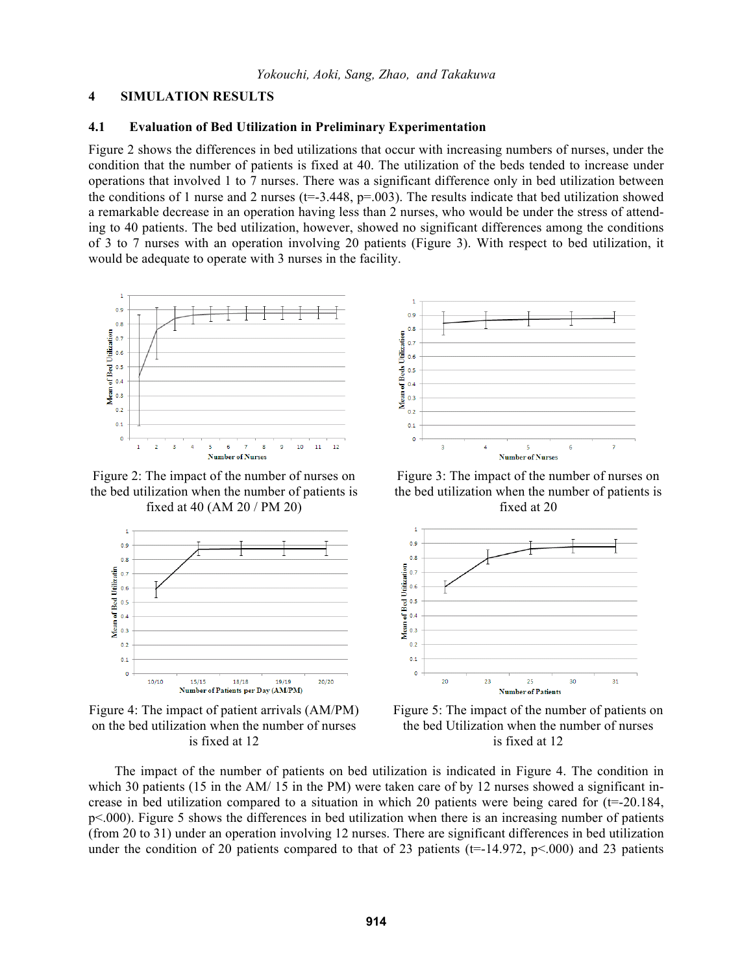#### **4 SIMULATION RESULTS**

## **4.1 Evaluation of Bed Utilization in Preliminary Experimentation**

Figure 2 shows the differences in bed utilizations that occur with increasing numbers of nurses, under the condition that the number of patients is fixed at 40. The utilization of the beds tended to increase under operations that involved 1 to 7 nurses. There was a significant difference only in bed utilization between the conditions of 1 nurse and 2 nurses ( $t=3.448$ ,  $p=.003$ ). The results indicate that bed utilization showed a remarkable decrease in an operation having less than 2 nurses, who would be under the stress of attending to 40 patients. The bed utilization, however, showed no significant differences among the conditions of 3 to 7 nurses with an operation involving 20 patients (Figure 3). With respect to bed utilization, it would be adequate to operate with 3 nurses in the facility.



Figure 2: The impact of the number of nurses on the bed utilization when the number of patients is fixed at 40 (AM 20 / PM 20)



Figure 4: The impact of patient arrivals (AM/PM) on the bed utilization when the number of nurses is fixed at 12



Figure 3: The impact of the number of nurses on the bed utilization when the number of patients is fixed at 20



Figure 5: The impact of the number of patients on the bed Utilization when the number of nurses is fixed at 12

The impact of the number of patients on bed utilization is indicated in Figure 4. The condition in which 30 patients (15 in the AM/ 15 in the PM) were taken care of by 12 nurses showed a significant increase in bed utilization compared to a situation in which 20 patients were being cared for  $(t=20.184, t=0.184)$ p<.000). Figure 5 shows the differences in bed utilization when there is an increasing number of patients (from 20 to 31) under an operation involving 12 nurses. There are significant differences in bed utilization under the condition of 20 patients compared to that of 23 patients ( $t=-14.972$ ,  $p<0.000$ ) and 23 patients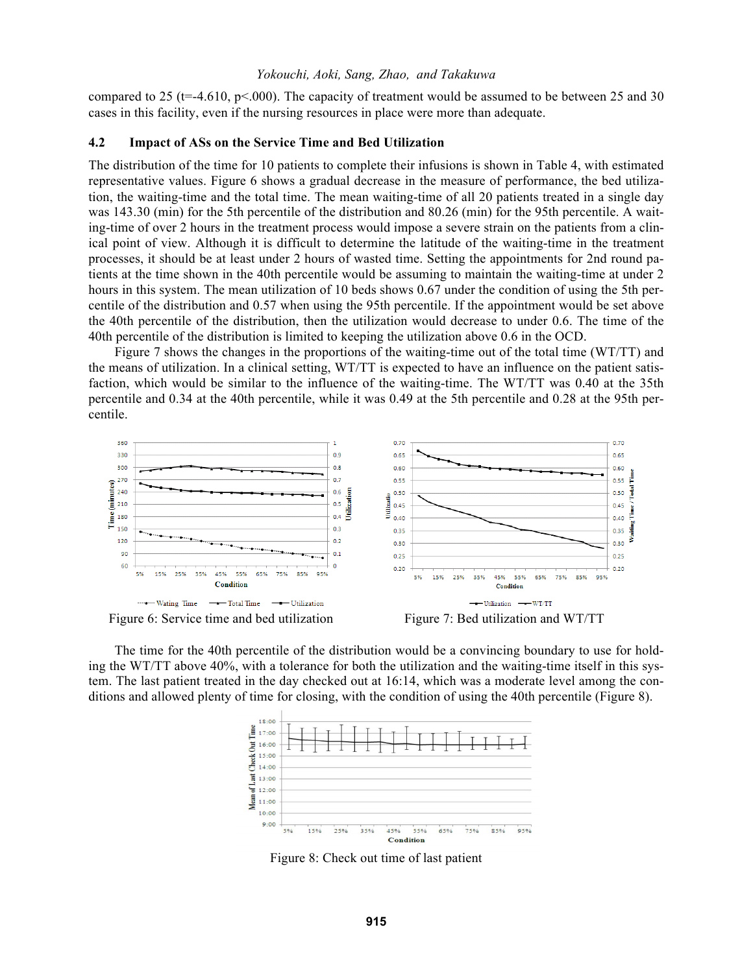compared to 25 (t=-4.610, p<.000). The capacity of treatment would be assumed to be between 25 and 30 cases in this facility, even if the nursing resources in place were more than adequate.

## **4.2 Impact of ASs on the Service Time and Bed Utilization**

The distribution of the time for 10 patients to complete their infusions is shown in Table 4, with estimated representative values. Figure 6 shows a gradual decrease in the measure of performance, the bed utilization, the waiting-time and the total time. The mean waiting-time of all 20 patients treated in a single day was 143.30 (min) for the 5th percentile of the distribution and 80.26 (min) for the 95th percentile. A waiting-time of over 2 hours in the treatment process would impose a severe strain on the patients from a clinical point of view. Although it is difficult to determine the latitude of the waiting-time in the treatment processes, it should be at least under 2 hours of wasted time. Setting the appointments for 2nd round patients at the time shown in the 40th percentile would be assuming to maintain the waiting-time at under 2 hours in this system. The mean utilization of 10 beds shows 0.67 under the condition of using the 5th percentile of the distribution and 0.57 when using the 95th percentile. If the appointment would be set above the 40th percentile of the distribution, then the utilization would decrease to under 0.6. The time of the 40th percentile of the distribution is limited to keeping the utilization above 0.6 in the OCD.

Figure 7 shows the changes in the proportions of the waiting-time out of the total time (WT/TT) and the means of utilization. In a clinical setting, WT/TT is expected to have an influence on the patient satisfaction, which would be similar to the influence of the waiting-time. The WT/TT was 0.40 at the 35th percentile and 0.34 at the 40th percentile, while it was 0.49 at the 5th percentile and 0.28 at the 95th percentile.



The time for the 40th percentile of the distribution would be a convincing boundary to use for holding the WT/TT above 40%, with a tolerance for both the utilization and the waiting-time itself in this system. The last patient treated in the day checked out at 16:14, which was a moderate level among the conditions and allowed plenty of time for closing, with the condition of using the 40th percentile (Figure 8).



Figure 8: Check out time of last patient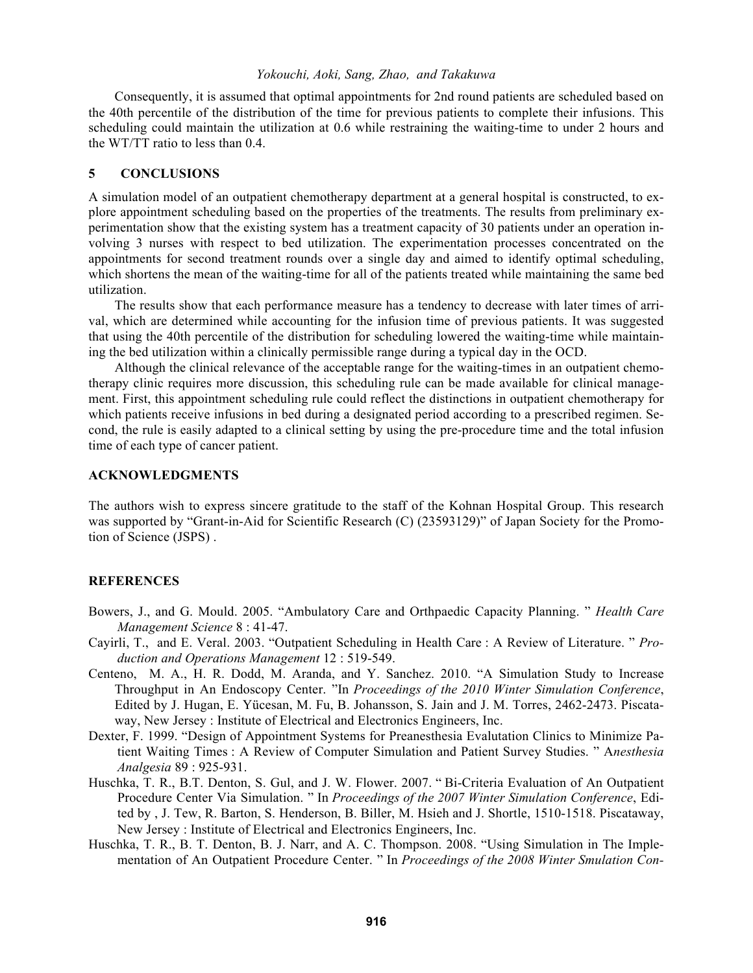Consequently, it is assumed that optimal appointments for 2nd round patients are scheduled based on the 40th percentile of the distribution of the time for previous patients to complete their infusions. This scheduling could maintain the utilization at 0.6 while restraining the waiting-time to under 2 hours and the WT/TT ratio to less than 0.4.

#### **5 CONCLUSIONS**

A simulation model of an outpatient chemotherapy department at a general hospital is constructed, to explore appointment scheduling based on the properties of the treatments. The results from preliminary experimentation show that the existing system has a treatment capacity of 30 patients under an operation involving 3 nurses with respect to bed utilization. The experimentation processes concentrated on the appointments for second treatment rounds over a single day and aimed to identify optimal scheduling, which shortens the mean of the waiting-time for all of the patients treated while maintaining the same bed utilization.

The results show that each performance measure has a tendency to decrease with later times of arrival, which are determined while accounting for the infusion time of previous patients. It was suggested that using the 40th percentile of the distribution for scheduling lowered the waiting-time while maintaining the bed utilization within a clinically permissible range during a typical day in the OCD.

Although the clinical relevance of the acceptable range for the waiting-times in an outpatient chemotherapy clinic requires more discussion, this scheduling rule can be made available for clinical management. First, this appointment scheduling rule could reflect the distinctions in outpatient chemotherapy for which patients receive infusions in bed during a designated period according to a prescribed regimen. Second, the rule is easily adapted to a clinical setting by using the pre-procedure time and the total infusion time of each type of cancer patient.

## **ACKNOWLEDGMENTS**

The authors wish to express sincere gratitude to the staff of the Kohnan Hospital Group. This research was supported by "Grant-in-Aid for Scientific Research (C) (23593129)" of Japan Society for the Promotion of Science (JSPS) .

## **REFERENCES**

- Bowers, J., and G. Mould. 2005. "Ambulatory Care and Orthpaedic Capacity Planning. " *Health Care Management Science* 8 : 41-47.
- Cayirli, T., and E. Veral. 2003. "Outpatient Scheduling in Health Care : A Review of Literature. " *Production and Operations Management* 12 : 519-549.
- Centeno, M. A., H. R. Dodd, M. Aranda, and Y. Sanchez. 2010. "A Simulation Study to Increase Throughput in An Endoscopy Center. "In *Proceedings of the 2010 Winter Simulation Conference*, Edited by J. Hugan, E. Yücesan, M. Fu, B. Johansson, S. Jain and J. M. Torres, 2462-2473. Piscataway, New Jersey : Institute of Electrical and Electronics Engineers, Inc.
- Dexter, F. 1999. "Design of Appointment Systems for Preanesthesia Evalutation Clinics to Minimize Patient Waiting Times : A Review of Computer Simulation and Patient Survey Studies. " A*nesthesia Analgesia* 89 : 925-931.
- Huschka, T. R., B.T. Denton, S. Gul, and J. W. Flower. 2007. " Bi-Criteria Evaluation of An Outpatient Procedure Center Via Simulation. " In *Proceedings of the 2007 Winter Simulation Conference*, Edited by , J. Tew, R. Barton, S. Henderson, B. Biller, M. Hsieh and J. Shortle, 1510-1518. Piscataway, New Jersey : Institute of Electrical and Electronics Engineers, Inc.
- Huschka, T. R., B. T. Denton, B. J. Narr, and A. C. Thompson. 2008. "Using Simulation in The Implementation of An Outpatient Procedure Center. " In *Proceedings of the 2008 Winter Smulation Con-*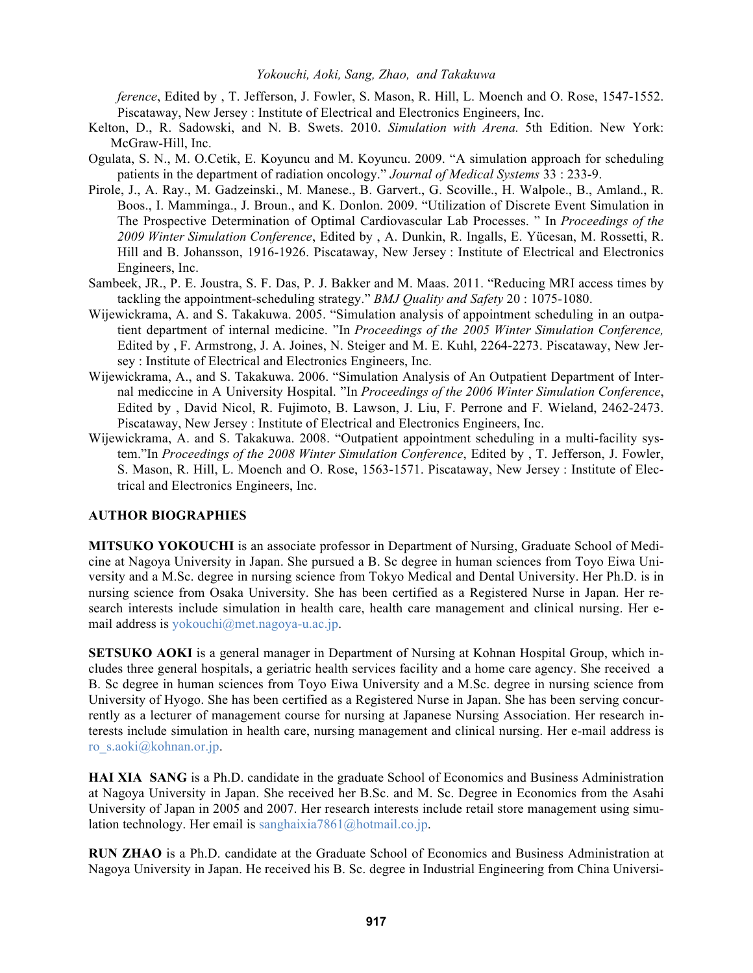*ference*, Edited by , T. Jefferson, J. Fowler, S. Mason, R. Hill, L. Moench and O. Rose, 1547-1552. Piscataway, New Jersey : Institute of Electrical and Electronics Engineers, Inc.

- Kelton, D., R. Sadowski, and N. B. Swets. 2010. *Simulation with Arena.* 5th Edition. New York: McGraw-Hill, Inc.
- Ogulata, S. N., M. O.Cetik, E. Koyuncu and M. Koyuncu. 2009. "A simulation approach for scheduling patients in the department of radiation oncology." *Journal of Medical Systems* 33 : 233-9.
- Pirole, J., A. Ray., M. Gadzeinski., M. Manese., B. Garvert., G. Scoville., H. Walpole., B., Amland., R. Boos., I. Mamminga., J. Broun., and K. Donlon. 2009. "Utilization of Discrete Event Simulation in The Prospective Determination of Optimal Cardiovascular Lab Processes. " In *Proceedings of the 2009 Winter Simulation Conference*, Edited by , A. Dunkin, R. Ingalls, E. Yücesan, M. Rossetti, R. Hill and B. Johansson, 1916-1926. Piscataway, New Jersey : Institute of Electrical and Electronics Engineers, Inc.
- Sambeek, JR., P. E. Joustra, S. F. Das, P. J. Bakker and M. Maas. 2011. "Reducing MRI access times by tackling the appointment-scheduling strategy." *BMJ Quality and Safety* 20 : 1075-1080.
- Wijewickrama, A. and S. Takakuwa. 2005. "Simulation analysis of appointment scheduling in an outpatient department of internal medicine. "In *Proceedings of the 2005 Winter Simulation Conference,* Edited by , F. Armstrong, J. A. Joines, N. Steiger and M. E. Kuhl, 2264-2273. Piscataway, New Jersey : Institute of Electrical and Electronics Engineers, Inc.
- Wijewickrama, A., and S. Takakuwa. 2006. "Simulation Analysis of An Outpatient Department of Internal mediccine in A University Hospital. "In *Proceedings of the 2006 Winter Simulation Conference*, Edited by , David Nicol, R. Fujimoto, B. Lawson, J. Liu, F. Perrone and F. Wieland, 2462-2473. Piscataway, New Jersey : Institute of Electrical and Electronics Engineers, Inc.
- Wijewickrama, A. and S. Takakuwa. 2008. "Outpatient appointment scheduling in a multi-facility system."In *Proceedings of the 2008 Winter Simulation Conference*, Edited by , T. Jefferson, J. Fowler, S. Mason, R. Hill, L. Moench and O. Rose, 1563-1571. Piscataway, New Jersey : Institute of Electrical and Electronics Engineers, Inc.

## **AUTHOR BIOGRAPHIES**

**MITSUKO YOKOUCHI** is an associate professor in Department of Nursing, Graduate School of Medicine at Nagoya University in Japan. She pursued a B. Sc degree in human sciences from Toyo Eiwa University and a M.Sc. degree in nursing science from Tokyo Medical and Dental University. Her Ph.D. is in nursing science from Osaka University. She has been certified as a Registered Nurse in Japan. Her research interests include simulation in health care, health care management and clinical nursing. Her email address is yokouchi@met.nagoya-u.ac.jp.

**SETSUKO AOKI** is a general manager in Department of Nursing at Kohnan Hospital Group, which includes three general hospitals, a geriatric health services facility and a home care agency. She received a B. Sc degree in human sciences from Toyo Eiwa University and a M.Sc. degree in nursing science from University of Hyogo. She has been certified as a Registered Nurse in Japan. She has been serving concurrently as a lecturer of management course for nursing at Japanese Nursing Association. Her research interests include simulation in health care, nursing management and clinical nursing. Her e-mail address is ro\_s.aoki@kohnan.or.jp.

**HAI XIA SANG** is a Ph.D. candidate in the graduate School of Economics and Business Administration at Nagoya University in Japan. She received her B.Sc. and M. Sc. Degree in Economics from the Asahi University of Japan in 2005 and 2007. Her research interests include retail store management using simulation technology. Her email is sanghaixia7861@hotmail.co.jp.

**RUN ZHAO** is a Ph.D. candidate at the Graduate School of Economics and Business Administration at Nagoya University in Japan. He received his B. Sc. degree in Industrial Engineering from China Universi-